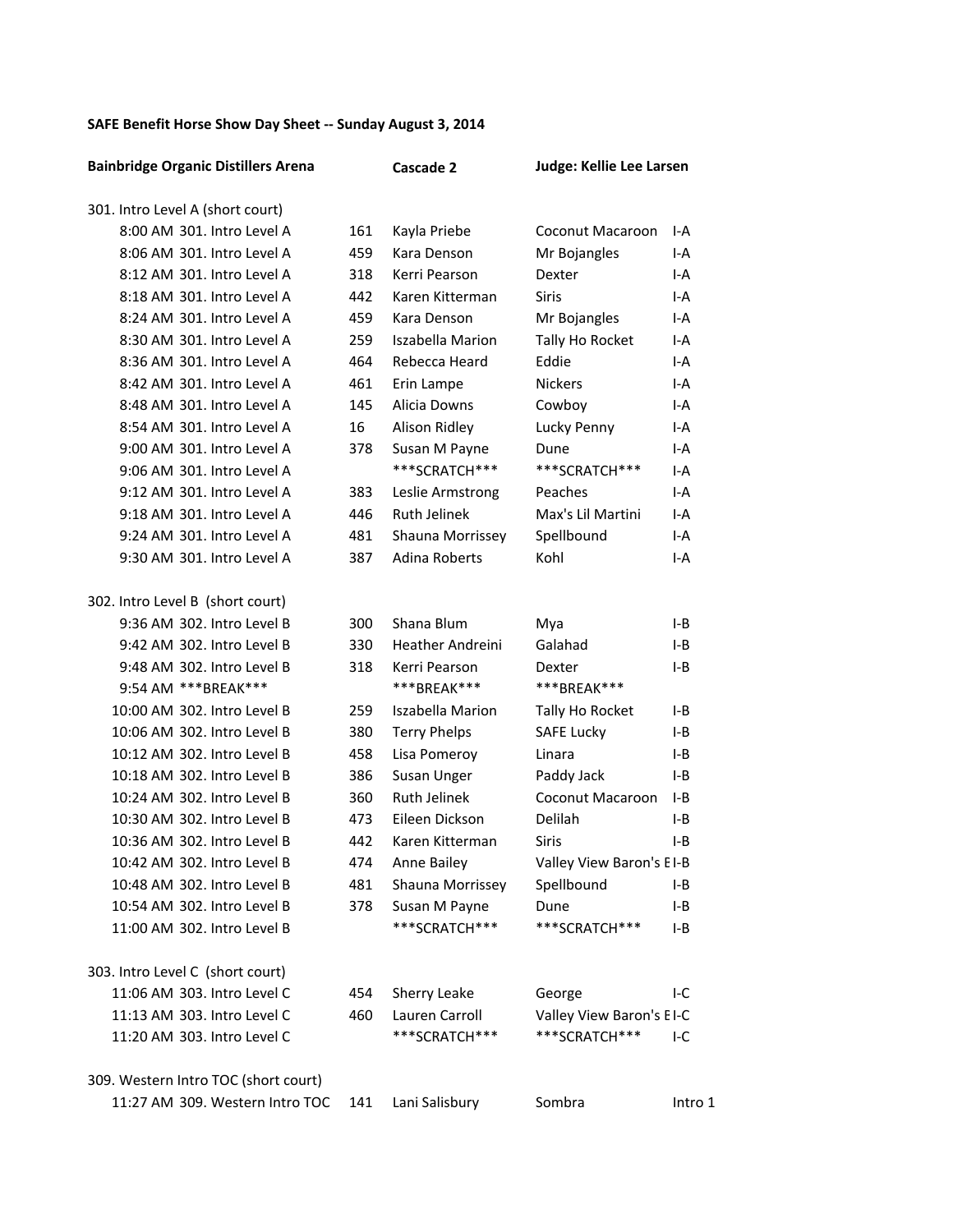## SAFE Benefit Horse Show Day Sheet -- Sunday August 3, 2014

| <b>Bainbridge Organic Distillers Arena</b> |     | Cascade 2               | Judge: Kellie Lee Larsen |         |
|--------------------------------------------|-----|-------------------------|--------------------------|---------|
| 301. Intro Level A (short court)           |     |                         |                          |         |
| 8:00 AM 301. Intro Level A                 | 161 | Kayla Priebe            | Coconut Macaroon         | I-A     |
| 8:06 AM 301. Intro Level A                 | 459 | Kara Denson             | Mr Bojangles             | I-A     |
| 8:12 AM 301. Intro Level A                 | 318 | Kerri Pearson           | Dexter                   | I-A     |
| 8:18 AM 301. Intro Level A                 | 442 | Karen Kitterman         | <b>Siris</b>             | I-A     |
| 8:24 AM 301. Intro Level A                 | 459 | Kara Denson             | Mr Bojangles             | I-A     |
| 8:30 AM 301. Intro Level A                 | 259 | <b>Iszabella Marion</b> | Tally Ho Rocket          | I-A     |
| 8:36 AM 301. Intro Level A                 | 464 | Rebecca Heard           | Eddie                    | I-A     |
| 8:42 AM 301. Intro Level A                 | 461 | Erin Lampe              | <b>Nickers</b>           | I-A     |
| 8:48 AM 301. Intro Level A                 | 145 | Alicia Downs            | Cowboy                   | I-A     |
| 8:54 AM 301. Intro Level A                 | 16  | Alison Ridley           | Lucky Penny              | I-A     |
| 9:00 AM 301. Intro Level A                 | 378 | Susan M Payne           | Dune                     | I-A     |
| 9:06 AM 301. Intro Level A                 |     | ***SCRATCH***           | ***SCRATCH***            | I-A     |
| 9:12 AM 301. Intro Level A                 | 383 | Leslie Armstrong        | Peaches                  | I-A     |
| 9:18 AM 301. Intro Level A                 | 446 | <b>Ruth Jelinek</b>     | Max's Lil Martini        | I-A     |
| 9:24 AM 301. Intro Level A                 | 481 | Shauna Morrissey        | Spellbound               | I-A     |
| 9:30 AM 301. Intro Level A                 | 387 | <b>Adina Roberts</b>    | Kohl                     | I-A     |
|                                            |     |                         |                          |         |
| 302. Intro Level B (short court)           |     |                         |                          |         |
| 9:36 AM 302. Intro Level B                 | 300 | Shana Blum              | Mya                      | I-B     |
| 9:42 AM 302. Intro Level B                 | 330 | <b>Heather Andreini</b> | Galahad                  | I-B     |
| 9:48 AM 302. Intro Level B                 | 318 | Kerri Pearson           | Dexter                   | I-B     |
| 9:54 AM *** BREAK***                       |     | ***BREAK***             | ***BREAK***              |         |
| 10:00 AM 302. Intro Level B                | 259 | <b>Iszabella Marion</b> | Tally Ho Rocket          | I-B     |
| 10:06 AM 302. Intro Level B                | 380 | <b>Terry Phelps</b>     | <b>SAFE Lucky</b>        | I-B     |
| 10:12 AM 302. Intro Level B                | 458 | Lisa Pomeroy            | Linara                   | I-B     |
| 10:18 AM 302. Intro Level B                | 386 | Susan Unger             | Paddy Jack               | I-B     |
| 10:24 AM 302. Intro Level B                | 360 | <b>Ruth Jelinek</b>     | Coconut Macaroon         | I-B     |
| 10:30 AM 302. Intro Level B                | 473 | Eileen Dickson          | Delilah                  | I-B     |
| 10:36 AM 302. Intro Level B                | 442 | Karen Kitterman         | Siris                    | I-B     |
| 10:42 AM 302. Intro Level B                | 474 | Anne Bailey             | Valley View Baron's EI-B |         |
| 10:48 AM 302. Intro Level B                | 481 | Shauna Morrissey        | Spellbound               | I-B     |
| 10:54 AM 302. Intro Level B                | 378 | Susan M Payne           | Dune                     | I-B     |
| 11:00 AM 302. Intro Level B                |     | ***SCRATCH***           | ***SCRATCH***            | I-B     |
|                                            |     |                         |                          |         |
| 303. Intro Level C (short court)           |     |                         |                          |         |
| 11:06 AM 303. Intro Level C                | 454 | Sherry Leake            | George                   | I-C     |
| 11:13 AM 303. Intro Level C                | 460 | Lauren Carroll          | Valley View Baron's EI-C |         |
| 11:20 AM 303. Intro Level C                |     | ***SCRATCH***           | ***SCRATCH***            | I-C     |
|                                            |     |                         |                          |         |
| 309. Western Intro TOC (short court)       |     |                         |                          |         |
| 11:27 AM 309. Western Intro TOC            | 141 | Lani Salisbury          | Sombra                   | Intro 1 |
|                                            |     |                         |                          |         |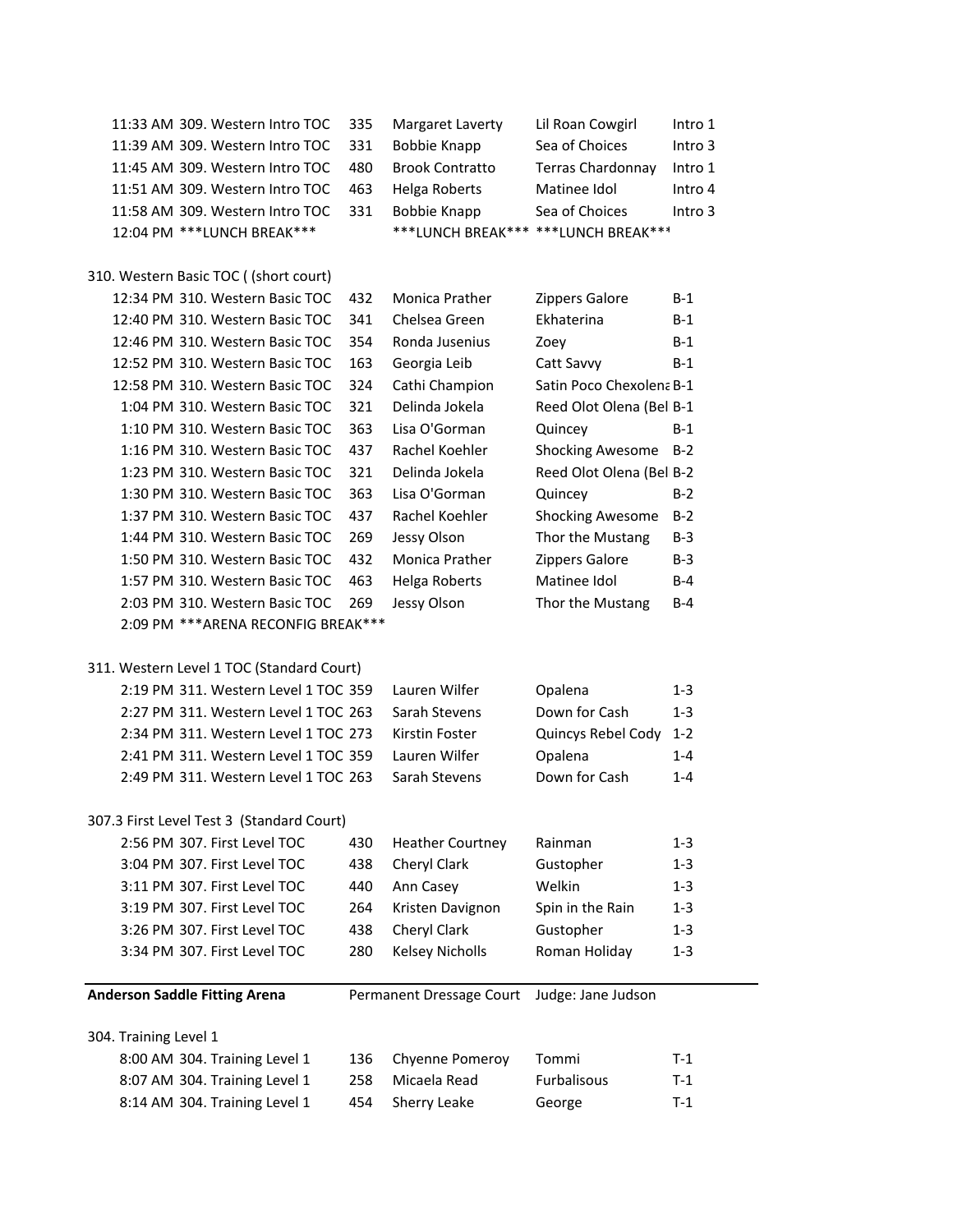| 11:33 AM 309. Western Intro TOC           | 335 | Margaret Laverty                    | Lil Roan Cowgirl         | Intro 1 |
|-------------------------------------------|-----|-------------------------------------|--------------------------|---------|
| 11:39 AM 309. Western Intro TOC           | 331 | <b>Bobbie Knapp</b>                 | Sea of Choices           | Intro 3 |
| 11:45 AM 309. Western Intro TOC           | 480 | <b>Brook Contratto</b>              | <b>Terras Chardonnay</b> | Intro 1 |
| 11:51 AM 309. Western Intro TOC           | 463 | Helga Roberts                       | Matinee Idol             | Intro 4 |
| 11:58 AM 309. Western Intro TOC           | 331 | <b>Bobbie Knapp</b>                 | Sea of Choices           | Intro 3 |
| 12:04 PM *** LUNCH BREAK***               |     | ***LUNCH BREAK*** ***LUNCH BREAK*** |                          |         |
|                                           |     |                                     |                          |         |
| 310. Western Basic TOC ((short court)     |     |                                     |                          |         |
| 12:34 PM 310. Western Basic TOC           | 432 | Monica Prather                      | Zippers Galore           | $B-1$   |
| 12:40 PM 310. Western Basic TOC           | 341 | Chelsea Green                       | Ekhaterina               | $B-1$   |
| 12:46 PM 310. Western Basic TOC           | 354 | Ronda Jusenius                      | Zoey                     | $B-1$   |
| 12:52 PM 310. Western Basic TOC           | 163 | Georgia Leib                        | Catt Savvy               | B-1     |
| 12:58 PM 310. Western Basic TOC           | 324 | Cathi Champion                      | Satin Poco Chexolena B-1 |         |
| 1:04 PM 310. Western Basic TOC            | 321 | Delinda Jokela                      | Reed Olot Olena (Bel B-1 |         |
| 1:10 PM 310. Western Basic TOC            | 363 | Lisa O'Gorman                       | Quincey                  | $B-1$   |
| 1:16 PM 310. Western Basic TOC            | 437 | Rachel Koehler                      | <b>Shocking Awesome</b>  | $B-2$   |
| 1:23 PM 310. Western Basic TOC            | 321 | Delinda Jokela                      | Reed Olot Olena (Bel B-2 |         |
| 1:30 PM 310. Western Basic TOC            | 363 | Lisa O'Gorman                       | Quincey                  | $B-2$   |
| 1:37 PM 310. Western Basic TOC            | 437 | Rachel Koehler                      | <b>Shocking Awesome</b>  | $B-2$   |
| 1:44 PM 310. Western Basic TOC            | 269 | Jessy Olson                         | Thor the Mustang         | $B-3$   |
| 1:50 PM 310. Western Basic TOC            | 432 | Monica Prather                      | <b>Zippers Galore</b>    | $B-3$   |
| 1:57 PM 310. Western Basic TOC            | 463 | Helga Roberts                       | Matinee Idol             | $B-4$   |
| 2:03 PM 310. Western Basic TOC            | 269 | Jessy Olson                         | Thor the Mustang         | $B-4$   |
| 2:09 PM *** ARENA RECONFIG BREAK***       |     |                                     |                          |         |
|                                           |     |                                     |                          |         |
| 311. Western Level 1 TOC (Standard Court) |     |                                     |                          |         |
| 2:19 PM 311. Western Level 1 TOC 359      |     | Lauren Wilfer                       | Opalena                  | 1-3     |
| 2:27 PM 311. Western Level 1 TOC 263      |     | Sarah Stevens                       | Down for Cash            | $1 - 3$ |
| 2:34 PM 311. Western Level 1 TOC 273      |     | Kirstin Foster                      | Quincys Rebel Cody       | $1 - 2$ |
| 2:41 PM 311. Western Level 1 TOC 359      |     | Lauren Wilfer                       | Opalena                  | $1 - 4$ |
| 2:49 PM 311. Western Level 1 TOC 263      |     | Sarah Stevens                       | Down for Cash            | $1 - 4$ |
|                                           |     |                                     |                          |         |
| 307.3 First Level Test 3 (Standard Court) |     |                                     |                          |         |
| 2:56 PM 307. First Level TOC              | 430 | <b>Heather Courtney</b>             | Rainman                  | $1 - 3$ |
| 3:04 PM 307. First Level TOC              | 438 | Cheryl Clark                        | Gustopher                | $1 - 3$ |
| 3:11 PM 307. First Level TOC              | 440 | Ann Casey                           | Welkin                   | $1 - 3$ |
| 3:19 PM 307. First Level TOC              | 264 | Kristen Davignon                    | Spin in the Rain         | $1 - 3$ |
| 3:26 PM 307. First Level TOC              | 438 | Cheryl Clark                        | Gustopher                | $1 - 3$ |
| 3:34 PM 307. First Level TOC              | 280 | <b>Kelsey Nicholls</b>              | Roman Holiday            | $1 - 3$ |
|                                           |     |                                     |                          |         |
| <b>Anderson Saddle Fitting Arena</b>      |     | Permanent Dressage Court            | Judge: Jane Judson       |         |
|                                           |     |                                     |                          |         |
| 304. Training Level 1                     |     |                                     |                          |         |
| 8:00 AM 304. Training Level 1             | 136 | Chyenne Pomeroy                     | Tommi                    | $T-1$   |
| 8:07 AM 304. Training Level 1             | 258 | Micaela Read                        | Furbalisous              | $T-1$   |
| 8:14 AM 304. Training Level 1             | 454 | Sherry Leake                        | George                   | $T-1$   |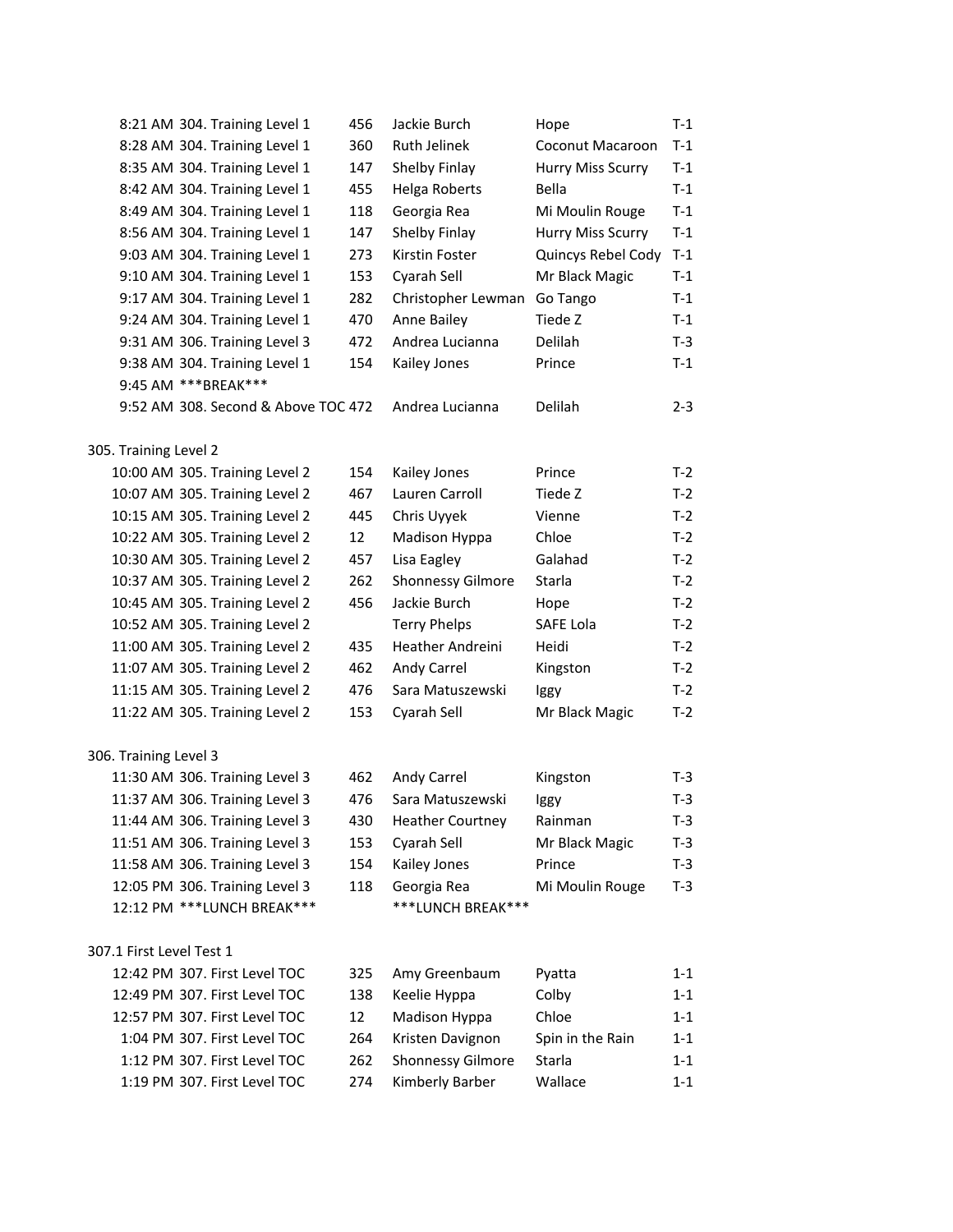|                          | 8:21 AM 304. Training Level 1       | 456               | Jackie Burch             | Hope               | $T-1$   |
|--------------------------|-------------------------------------|-------------------|--------------------------|--------------------|---------|
|                          | 8:28 AM 304. Training Level 1       | 360               | <b>Ruth Jelinek</b>      | Coconut Macaroon   | $T-1$   |
|                          | 8:35 AM 304. Training Level 1       | 147               | Shelby Finlay            | Hurry Miss Scurry  | $T-1$   |
|                          | 8:42 AM 304. Training Level 1       | 455               | Helga Roberts            | Bella              | $T-1$   |
|                          | 8:49 AM 304. Training Level 1       | 118               | Georgia Rea              | Mi Moulin Rouge    | $T-1$   |
|                          | 8:56 AM 304. Training Level 1       | 147               | Shelby Finlay            | Hurry Miss Scurry  | $T-1$   |
|                          | 9:03 AM 304. Training Level 1       | 273               | Kirstin Foster           | Quincys Rebel Cody | $T-1$   |
|                          | 9:10 AM 304. Training Level 1       | 153               | Cyarah Sell              | Mr Black Magic     | $T-1$   |
|                          | 9:17 AM 304. Training Level 1       | 282               | Christopher Lewman       | Go Tango           | $T-1$   |
|                          | 9:24 AM 304. Training Level 1       | 470               | Anne Bailey              | Tiede Z            | $T-1$   |
|                          | 9:31 AM 306. Training Level 3       | 472               | Andrea Lucianna          | <b>Delilah</b>     | $T-3$   |
|                          | 9:38 AM 304. Training Level 1       | 154               | Kailey Jones             | Prince             | $T-1$   |
|                          | 9:45 AM *** BREAK***                |                   |                          |                    |         |
|                          | 9:52 AM 308. Second & Above TOC 472 |                   | Andrea Lucianna          | <b>Delilah</b>     | $2 - 3$ |
| 305. Training Level 2    |                                     |                   |                          |                    |         |
|                          | 10:00 AM 305. Training Level 2      | 154               | Kailey Jones             | Prince             | $T-2$   |
|                          | 10:07 AM 305. Training Level 2      | 467               | Lauren Carroll           | Tiede Z            | $T-2$   |
|                          | 10:15 AM 305. Training Level 2      | 445               | Chris Uyyek              | Vienne             | $T-2$   |
|                          | 10:22 AM 305. Training Level 2      | 12                | Madison Hyppa            | Chloe              | $T-2$   |
|                          | 10:30 AM 305. Training Level 2      | 457               | Lisa Eagley              | Galahad            | $T-2$   |
|                          | 10:37 AM 305. Training Level 2      | 262               | <b>Shonnessy Gilmore</b> | Starla             | $T-2$   |
|                          | 10:45 AM 305. Training Level 2      | 456               | Jackie Burch             | Hope               | $T-2$   |
|                          | 10:52 AM 305. Training Level 2      |                   | <b>Terry Phelps</b>      | SAFE Lola          | $T-2$   |
|                          | 11:00 AM 305. Training Level 2      | 435               | Heather Andreini         | <b>Heidi</b>       | $T-2$   |
|                          | 11:07 AM 305. Training Level 2      | 462               | Andy Carrel              | Kingston           | $T-2$   |
|                          | 11:15 AM 305. Training Level 2      | 476               | Sara Matuszewski         | Iggy               | $T-2$   |
|                          | 11:22 AM 305. Training Level 2      | 153               | Cyarah Sell              | Mr Black Magic     | $T-2$   |
| 306. Training Level 3    |                                     |                   |                          |                    |         |
|                          | 11:30 AM 306. Training Level 3      | 462               | Andy Carrel              | Kingston           | T-3     |
|                          | 11:37 AM 306. Training Level 3      | 476               | Sara Matuszewski         | Iggy               | $T-3$   |
|                          | 11:44 AM 306. Training Level 3      | 430               | <b>Heather Courtney</b>  | Rainman            | $T-3$   |
|                          | 11:51 AM 306. Training Level 3      | 153               | Cyarah Sell              | Mr Black Magic     | $T-3$   |
|                          | 11:58 AM 306. Training Level 3      | 154               | Kailey Jones             | Prince             | $T-3$   |
|                          | 12:05 PM 306. Training Level 3      | 118               | Georgia Rea              | Mi Moulin Rouge    | $T-3$   |
|                          | 12:12 PM *** LUNCH BREAK***         |                   | ***LUNCH BREAK***        |                    |         |
| 307.1 First Level Test 1 |                                     |                   |                          |                    |         |
|                          | 12:42 PM 307. First Level TOC       | 325               | Amy Greenbaum            | Pyatta             | $1 - 1$ |
|                          | 12:49 PM 307. First Level TOC       | 138               | Keelie Hyppa             | Colby              | $1 - 1$ |
|                          | 12:57 PM 307. First Level TOC       | $12 \overline{ }$ | Madison Hyppa            | Chloe              | $1 - 1$ |
|                          | 1:04 PM 307. First Level TOC        | 264               | Kristen Davignon         | Spin in the Rain   | $1 - 1$ |
|                          | 1:12 PM 307. First Level TOC        | 262               | Shonnessy Gilmore        | Starla             | $1 - 1$ |
|                          | 1:19 PM 307. First Level TOC        | 274               | Kimberly Barber          | Wallace            | $1 - 1$ |
|                          |                                     |                   |                          |                    |         |